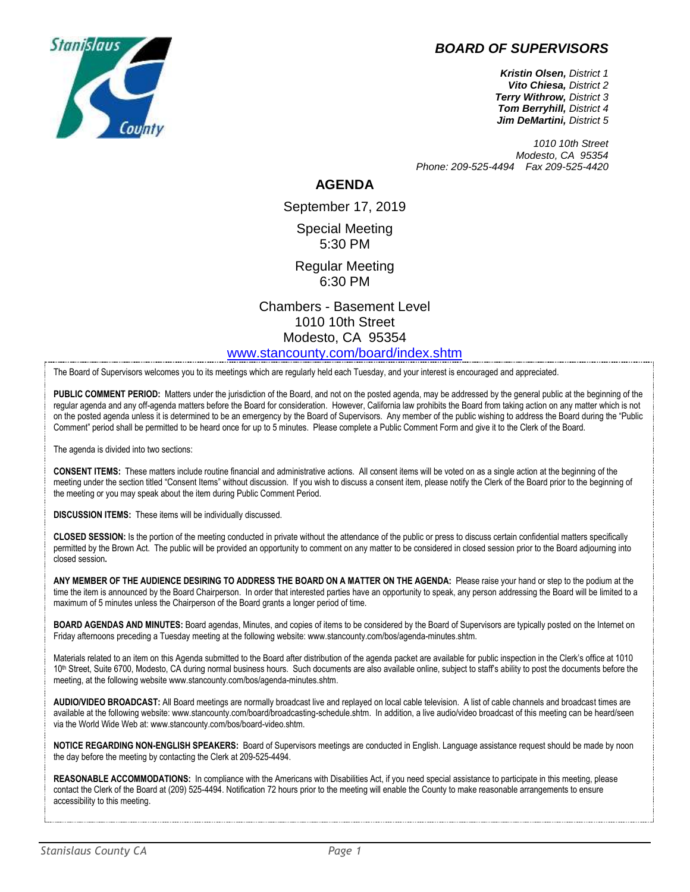### *BOARD OF SUPERVISORS*



*Kristin Olsen, District 1 Vito Chiesa, District 2 Terry Withrow, District 3 Tom Berryhill, District 4 Jim DeMartini, District 5*

*1010 10th Street Modesto, CA 95354 Phone: 209-525-4494 Fax 209-525-4420*

#### **AGENDA**

September 17, 2019 Special Meeting 5:30 PM

Regular Meeting 6:30 PM

Chambers - Basement Level 1010 10th Street Modesto, CA 95354 [www.stancounty.com/board/index.shtm](http://www.stancounty.com/board/index.shtm)

The Board of Supervisors welcomes you to its meetings which are regularly held each Tuesday, and your interest is encouraged and appreciated.

PUBLIC COMMENT PERIOD: Matters under the jurisdiction of the Board, and not on the posted agenda, may be addressed by the general public at the beginning of the regular agenda and any off-agenda matters before the Board for consideration. However, California law prohibits the Board from taking action on any matter which is not on the posted agenda unless it is determined to be an emergency by the Board of Supervisors. Any member of the public wishing to address the Board during the "Public Comment" period shall be permitted to be heard once for up to 5 minutes. Please complete a Public Comment Form and give it to the Clerk of the Board.

The agenda is divided into two sections:

**CONSENT ITEMS:** These matters include routine financial and administrative actions. All consent items will be voted on as a single action at the beginning of the meeting under the section titled "Consent Items" without discussion. If you wish to discuss a consent item, please notify the Clerk of the Board prior to the beginning of the meeting or you may speak about the item during Public Comment Period.

**DISCUSSION ITEMS:** These items will be individually discussed.

**CLOSED SESSION:** Is the portion of the meeting conducted in private without the attendance of the public or press to discuss certain confidential matters specifically permitted by the Brown Act. The public will be provided an opportunity to comment on any matter to be considered in closed session prior to the Board adjourning into closed session**.**

**ANY MEMBER OF THE AUDIENCE DESIRING TO ADDRESS THE BOARD ON A MATTER ON THE AGENDA:** Please raise your hand or step to the podium at the time the item is announced by the Board Chairperson. In order that interested parties have an opportunity to speak, any person addressing the Board will be limited to a maximum of 5 minutes unless the Chairperson of the Board grants a longer period of time.

**BOARD AGENDAS AND MINUTES:** Board agendas, Minutes, and copies of items to be considered by the Board of Supervisors are typically posted on the Internet on Friday afternoons preceding a Tuesday meeting at the following website: www.stancounty.com/bos/agenda-minutes.shtm.

Materials related to an item on this Agenda submitted to the Board after distribution of the agenda packet are available for public inspection in the Clerk's office at 1010 10<sup>th</sup> Street, Suite 6700, Modesto, CA during normal business hours. Such documents are also available online, subject to staff's ability to post the documents before the meeting, at the following website www.stancounty.com/bos/agenda-minutes.shtm.

**AUDIO/VIDEO BROADCAST:** All Board meetings are normally broadcast live and replayed on local cable television. A list of cable channels and broadcast times are available at the following website: www.stancounty.com/board/broadcasting-schedule.shtm. In addition, a live audio/video broadcast of this meeting can be heard/seen via the World Wide Web at: www.stancounty.com/bos/board-video.shtm.

**NOTICE REGARDING NON-ENGLISH SPEAKERS:** Board of Supervisors meetings are conducted in English. Language assistance request should be made by noon the day before the meeting by contacting the Clerk at 209-525-4494.

REASONABLE ACCOMMODATIONS: In compliance with the Americans with Disabilities Act, if you need special assistance to participate in this meeting, please contact the Clerk of the Board at (209) 525-4494. Notification 72 hours prior to the meeting will enable the County to make reasonable arrangements to ensure accessibility to this meeting.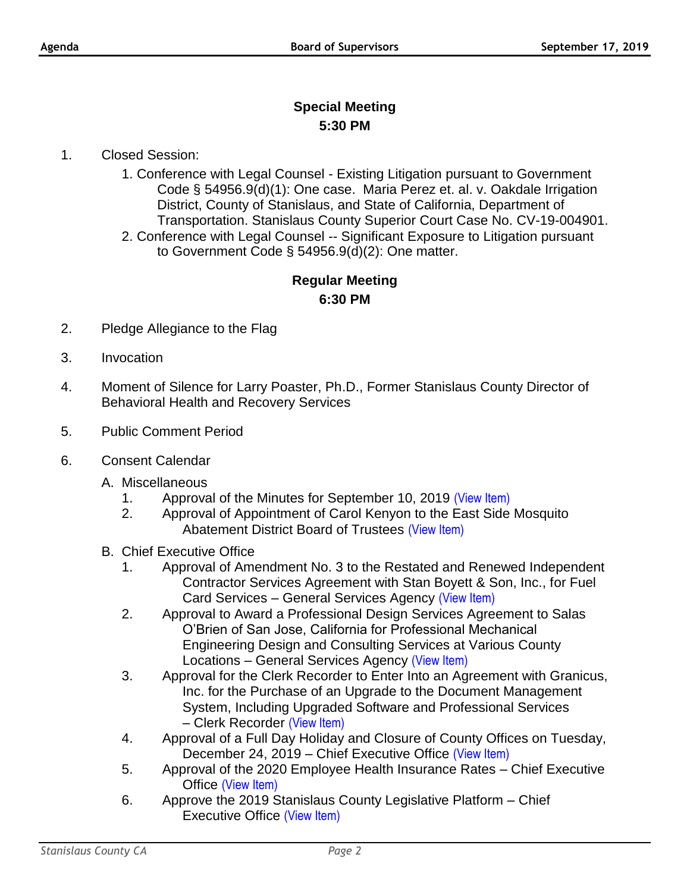# **Special Meeting 5:30 PM**

### 1. Closed Session:

- 1. Conference with Legal Counsel Existing Litigation pursuant to Government Code § 54956.9(d)(1): One case. Maria Perez et. al. v. Oakdale Irrigation District, County of Stanislaus, and State of California, Department of Transportation. Stanislaus County Superior Court Case No. CV-19-004901.
- 2. Conference with Legal Counsel -- Significant Exposure to Litigation pursuant to Government Code § 54956.9(d)(2): One matter.

## **Regular Meeting 6:30 PM**

- 2. Pledge Allegiance to the Flag
- 3. Invocation
- 4. Moment of Silence for Larry Poaster, Ph.D., Former Stanislaus County Director of Behavioral Health and Recovery Services
- 5. Public Comment Period
- 6. Consent Calendar
	- A. Miscellaneous
		- 1. Approval of the Minutes for September 10, 2019 [\(View Item\)](http://www.stancounty.com/bos/minutes/2019/min09-10-19.pdf)
		- 2. Approval of Appointment of Carol Kenyon to the East Side Mosquito Abatement District Board of Trustees [\(View Item\)](http://www.stancounty.com/bos/agenda/2019/20190917/A02.pdf)
	- B. Chief Executive Office
		- 1. Approval of Amendment No. 3 to the Restated and Renewed Independent Contractor Services Agreement with Stan Boyett & Son, Inc., for Fuel Card Services – General Services Agency [\(View Item\)](http://www.stancounty.com/bos/agenda/2019/20190917/B01.pdf)
		- 2. Approval to Award a Professional Design Services Agreement to Salas O'Brien of San Jose, California for Professional Mechanical Engineering Design and Consulting Services at Various County Locations – General Services Agency [\(View Item\)](http://www.stancounty.com/bos/agenda/2019/20190917/B02.pdf)
		- 3. Approval for the Clerk Recorder to Enter Into an Agreement with Granicus, Inc. for the Purchase of an Upgrade to the Document Management System, Including Upgraded Software and Professional Services – Clerk Recorder [\(View Item\)](http://www.stancounty.com/bos/agenda/2019/20190917/B03.pdf)
		- 4. Approval of a Full Day Holiday and Closure of County Offices on Tuesday, December 24, 2019 – Chief Executive Office [\(View Item\)](http://www.stancounty.com/bos/agenda/2019/20190917/B04.pdf)
		- 5. Approval of the 2020 Employee Health Insurance Rates Chief Executive Office [\(View Item\)](http://www.stancounty.com/bos/agenda/2019/20190917/B05.pdf)
		- 6. Approve the 2019 Stanislaus County Legislative Platform Chief Executive Office [\(View Item\)](http://www.stancounty.com/bos/agenda/2019/20190917/B06.pdf)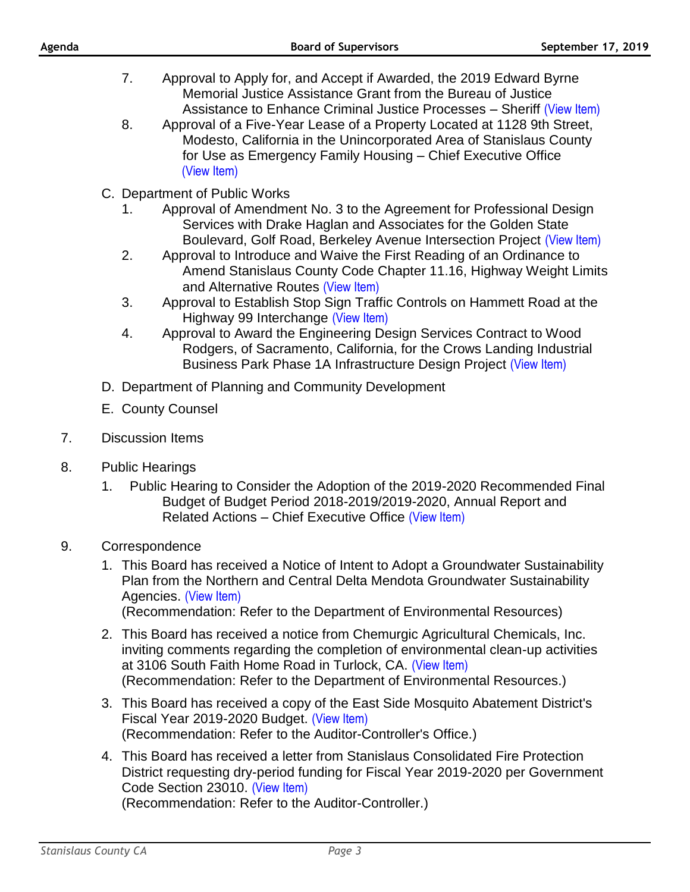|    |    | 8.<br>Approval of a Five-Year Lease of a Property Located at 1128 9th Street,<br>Modesto, California in the Unincorporated Area of Stanislaus County<br>for Use as Emergency Family Housing - Chief Executive Office<br>(View Item)                                                                                                                                                                                                                                                                                                                                                                                                                                                                                                                                                                                                                                                                                                                                                                                                                               |
|----|----|-------------------------------------------------------------------------------------------------------------------------------------------------------------------------------------------------------------------------------------------------------------------------------------------------------------------------------------------------------------------------------------------------------------------------------------------------------------------------------------------------------------------------------------------------------------------------------------------------------------------------------------------------------------------------------------------------------------------------------------------------------------------------------------------------------------------------------------------------------------------------------------------------------------------------------------------------------------------------------------------------------------------------------------------------------------------|
|    |    | C. Department of Public Works<br>Approval of Amendment No. 3 to the Agreement for Professional Design<br>1.<br>Services with Drake Haglan and Associates for the Golden State<br>Boulevard, Golf Road, Berkeley Avenue Intersection Project (View Item)<br>2.<br>Approval to Introduce and Waive the First Reading of an Ordinance to<br>Amend Stanislaus County Code Chapter 11.16, Highway Weight Limits<br>and Alternative Routes (View Item)<br>3.<br>Approval to Establish Stop Sign Traffic Controls on Hammett Road at the<br>Highway 99 Interchange (View Item)<br>Approval to Award the Engineering Design Services Contract to Wood<br>4.<br>Rodgers, of Sacramento, California, for the Crows Landing Industrial<br>Business Park Phase 1A Infrastructure Design Project (View Item)                                                                                                                                                                                                                                                                   |
|    |    | D. Department of Planning and Community Development                                                                                                                                                                                                                                                                                                                                                                                                                                                                                                                                                                                                                                                                                                                                                                                                                                                                                                                                                                                                               |
|    |    | E. County Counsel                                                                                                                                                                                                                                                                                                                                                                                                                                                                                                                                                                                                                                                                                                                                                                                                                                                                                                                                                                                                                                                 |
| 7. |    | <b>Discussion Items</b>                                                                                                                                                                                                                                                                                                                                                                                                                                                                                                                                                                                                                                                                                                                                                                                                                                                                                                                                                                                                                                           |
| 8. | 1. | <b>Public Hearings</b><br>Public Hearing to Consider the Adoption of the 2019-2020 Recommended Final<br>Budget of Budget Period 2018-2019/2019-2020, Annual Report and<br>Related Actions - Chief Executive Office (View Item)                                                                                                                                                                                                                                                                                                                                                                                                                                                                                                                                                                                                                                                                                                                                                                                                                                    |
| 9. |    | Correspondence<br>1. This Board has received a Notice of Intent to Adopt a Groundwater Sustainability<br>Plan from the Northern and Central Delta Mendota Groundwater Sustainability<br>Agencies. (View Item)<br>(Recommendation: Refer to the Department of Environmental Resources)<br>2. This Board has received a notice from Chemurgic Agricultural Chemicals, Inc.<br>inviting comments regarding the completion of environmental clean-up activities<br>at 3106 South Faith Home Road in Turlock, CA. (View Item)<br>(Recommendation: Refer to the Department of Environmental Resources.)<br>3. This Board has received a copy of the East Side Mosquito Abatement District's<br>Fiscal Year 2019-2020 Budget. (View Item)<br>(Recommendation: Refer to the Auditor-Controller's Office.)<br>4. This Board has received a letter from Stanislaus Consolidated Fire Protection<br>District requesting dry-period funding for Fiscal Year 2019-2020 per Government<br>Code Section 23010. (View Item)<br>(Recommendation: Refer to the Auditor-Controller.) |
|    |    |                                                                                                                                                                                                                                                                                                                                                                                                                                                                                                                                                                                                                                                                                                                                                                                                                                                                                                                                                                                                                                                                   |

7. Approval to Apply for, and Accept if Awarded, the 2019 Edward Byrne Memorial Justice Assistance Grant from the Bureau of Justice

Assistance to Enhance Criminal Justice Processes - Sheriff [\(View Item\)](http://www.stancounty.com/bos/agenda/2019/20190917/B07.pdf)